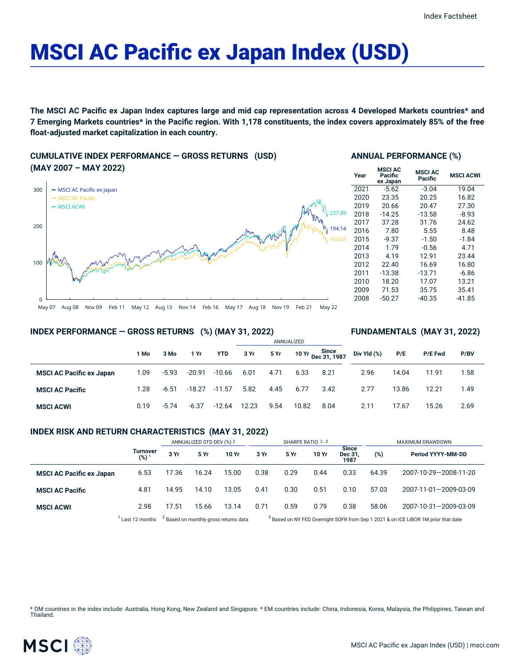# MSCI AC Pacific ex Japan Index (USD)

The MSCI AC Pacific ex Japan Index captures large and mid cap representation across 4 Developed Markets countries\* and 7 Emerging Markets countries\* in the Pacific region. With 1,178 constituents, the index covers approximately 85% of the free **float-adjusted market capitalization in each country.**

## **CUMULATIVE INDEX PERFORMANCE — GROSS RETURNS (USD) (MAY 2007 – MAY 2022)**



## **ANNUAL PERFORMANCE (%)**

| Year | <b>MSCI AC</b><br>Pacific<br>ex Japan | <b>MSCI AC</b><br>Pacific | <b>MSCI ACWI</b> |  |  |
|------|---------------------------------------|---------------------------|------------------|--|--|
| 2021 | $-5.62$                               | $-3.04$                   | 19.04            |  |  |
| 2020 | 23.35                                 | 20.25                     | 16.82            |  |  |
| 2019 | 20.66                                 | 20.47                     | 27.30            |  |  |
| 2018 | $-14.25$                              | $-13.58$                  | $-8.93$          |  |  |
| 2017 | 37.28                                 | 31.76                     | 24.62            |  |  |
| 2016 | 7.80                                  | 5.55                      | 8.48             |  |  |
| 2015 | $-9.37$                               | $-1.50$                   | $-1.84$          |  |  |
| 2014 | 1.79                                  | $-0.56$                   | 4.71             |  |  |
| 2013 | 4.19                                  | 12.91                     | 23.44            |  |  |
| 2012 | 22.40                                 | 16.69                     | 16.80            |  |  |
| 2011 | $-13.38$                              | $-13.71$                  | $-6.86$          |  |  |
| 2010 | 18.20                                 | 17.07                     | 13.21            |  |  |
| 2009 | 71.53                                 | 35.75                     | 35.41            |  |  |
| 2008 | $-50.27$                              | $-40.35$                  | $-41.85$         |  |  |

**FUNDAMENTALS (MAY 31, 2022)**

#### **INDEX PERFORMANCE — GROSS RETURNS (%) (MAY 31, 2022)**

#### ANNUALIZED **1 Mo 3 Mo 1 Yr YTD 3 Yr 5 Yr 10 Yr Since Dec 31, 1987 MSCI AC Pacific ex Japan** 1.09 -5.93 -20.91 -10.66 6.01 4.71 6.33 8.21 **MSCI AC Pacific** 1.28 -6.51 -18.27 -11.57 5.82 4.45 6.77 3.42 **MSCI ACWI** 0.19 -5.74 -6.37 -12.64 12.23 9.54 10.82 8.04 **Div Yld (%) P/E P/E Fwd P/BV** 2.96 14.04 11.91 1.58 2.77 13.86 12.21 1.49 2.11 17.67 15.26 2.69

## **INDEX RISK AND RETURN CHARACTERISTICS (MAY 31, 2022)**

|                                 |                              | ANNUALIZED STD DEV (%) 2                         |       | SHARPE RATIO 2,3 |      |                                                                                               |       | MAXIMUM DRAWDOWN                |       |                       |
|---------------------------------|------------------------------|--------------------------------------------------|-------|------------------|------|-----------------------------------------------------------------------------------------------|-------|---------------------------------|-------|-----------------------|
|                                 | Turnover<br>(%) <sup>1</sup> | 3 Yr                                             | 5 Yr  | 10 Yr            | 3 Yr | 5 Yr                                                                                          | 10 Yr | <b>Since</b><br>Dec 31,<br>1987 | (%)   | Period YYYY-MM-DD     |
| <b>MSCI AC Pacific ex Japan</b> | 6.53                         | 17.36                                            | 16.24 | 15.00            | 0.38 | 0.29                                                                                          | 0.44  | 0.33                            | 64.39 | 2007-10-29-2008-11-20 |
| <b>MSCI AC Pacific</b>          | 4.81                         | 14.95                                            | 14.10 | 13.05            | 0.41 | 0.30                                                                                          | 0.51  | 0.10                            | 57.03 | 2007-11-01-2009-03-09 |
| <b>MSCI ACWI</b>                | 2.98                         | 17.51                                            | 15.66 | 13.14            | 0.71 | 0.59                                                                                          | 0.79  | 0.38                            | 58.06 | 2007-10-31-2009-03-09 |
|                                 | Last 12 months               | <sup>2</sup> Based on monthly gross returns data |       |                  |      | <sup>3</sup> Based on NY FED Overnight SOFR from Sep 1 2021 & on ICE LIBOR 1M prior that date |       |                                 |       |                       |

\* DM countries in the index include: Australia, Hong Kong, New Zealand and Singapore. \* EM countries include: China, Indonesia, Korea, Malaysia, the Philippines, Taiwan and **Thailand** 

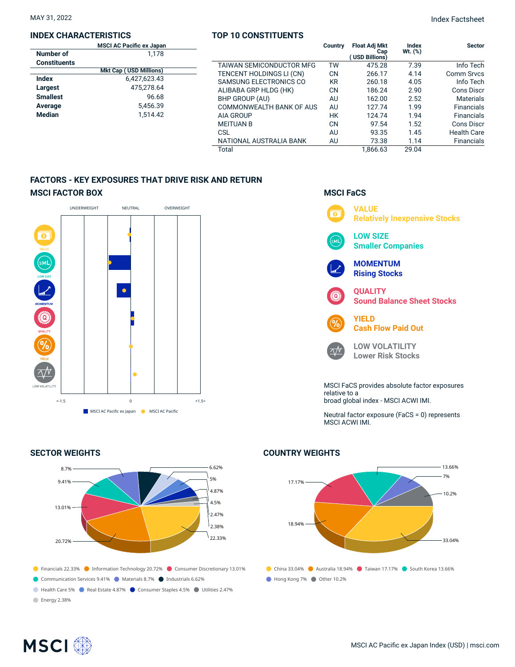### **INDEX CHARACTERISTICS**

### **TOP 10 CONSTITUENTS**

|                     | <b>MSCI AC Pacific ex Japan</b> |                          | Country   | <b>Float Adj Mkt</b>  | Index        | <b>Sector</b>      |
|---------------------|---------------------------------|--------------------------|-----------|-----------------------|--------------|--------------------|
| Number of           | 1.178                           |                          |           | Cap<br>(USD Billions) | $Wt.$ $(\%)$ |                    |
| <b>Constituents</b> |                                 | TAIWAN SEMICONDUCTOR MFG | TW        | 475.28                | 7.39         | Info Tech          |
|                     | <b>Mkt Cap (USD Millions)</b>   | TENCENT HOLDINGS LI (CN) | <b>CN</b> | 266.17                | 4.14         | Comm Srvcs         |
| <b>Index</b>        | 6,427,623.43                    | SAMSUNG ELECTRONICS CO   | <b>KR</b> | 260.18                | 4.05         | Info Tech          |
| Largest             | 475.278.64                      | ALIBABA GRP HLDG (HK)    | <b>CN</b> | 186.24                | 2.90         | Cons Discr         |
| <b>Smallest</b>     | 96.68                           | BHP GROUP (AU)           | AU        | 162.00                | 2.52         | <b>Materials</b>   |
| Average             | 5,456.39                        | COMMONWEALTH BANK OF AUS | AU        | 127.74                | 1.99         | <b>Financials</b>  |
| <b>Median</b>       | 1,514.42                        | AIA GROUP                | <b>HK</b> | 124.74                | 1.94         | <b>Financials</b>  |
|                     |                                 | <b>MEITUAN B</b>         | <b>CN</b> | 97.54                 | 1.52         | Cons Discr         |
|                     |                                 | CSL                      | AU        | 93.35                 | 1.45         | <b>Health Care</b> |
|                     |                                 | NATIONAL AUSTRALIA BANK  | AU        | 73.38                 | 1.14         | Financials         |
|                     |                                 | Total                    |           | 1.866.63              | 29.04        |                    |

## **FACTORS - KEY EXPOSURES THAT DRIVE RISK AND RETURN MSCI FACTOR BOX**



## **SECTOR WEIGHTS**



## **MSCI FaCS**



Neutral factor exposure (FaCS = 0) represents MSCI ACWI IMI.

## China 33.04% Australia 18.94% Taiwan 17.17% South Korea 13.66% Hong Kong 7% Other 10.2% 17.17% 18.94%  $-13.66%$ 7% 10.2% 33.04%

## **COUNTRY WEIGHTS**